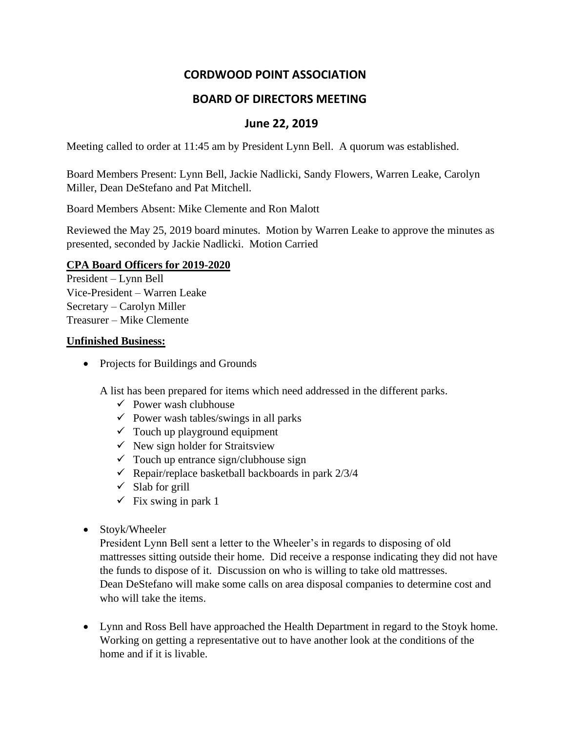# **CORDWOOD POINT ASSOCIATION**

## **BOARD OF DIRECTORS MEETING**

### **June 22, 2019**

Meeting called to order at 11:45 am by President Lynn Bell. A quorum was established.

Board Members Present: Lynn Bell, Jackie Nadlicki, Sandy Flowers, Warren Leake, Carolyn Miller, Dean DeStefano and Pat Mitchell.

Board Members Absent: Mike Clemente and Ron Malott

Reviewed the May 25, 2019 board minutes. Motion by Warren Leake to approve the minutes as presented, seconded by Jackie Nadlicki. Motion Carried

#### **CPA Board Officers for 2019-2020**

President – Lynn Bell Vice-President – Warren Leake Secretary – Carolyn Miller Treasurer – Mike Clemente

#### **Unfinished Business:**

• Projects for Buildings and Grounds

A list has been prepared for items which need addressed in the different parks.

- $\checkmark$  Power wash clubhouse
- $\checkmark$  Power wash tables/swings in all parks
- $\checkmark$  Touch up playground equipment
- $\checkmark$  New sign holder for Straitsview
- $\checkmark$  Touch up entrance sign/clubhouse sign
- $\checkmark$  Repair/replace basketball backboards in park 2/3/4
- $\checkmark$  Slab for grill
- $\checkmark$  Fix swing in park 1
- Stoyk/Wheeler

President Lynn Bell sent a letter to the Wheeler's in regards to disposing of old mattresses sitting outside their home. Did receive a response indicating they did not have the funds to dispose of it. Discussion on who is willing to take old mattresses. Dean DeStefano will make some calls on area disposal companies to determine cost and who will take the items.

• Lynn and Ross Bell have approached the Health Department in regard to the Stoyk home. Working on getting a representative out to have another look at the conditions of the home and if it is livable.